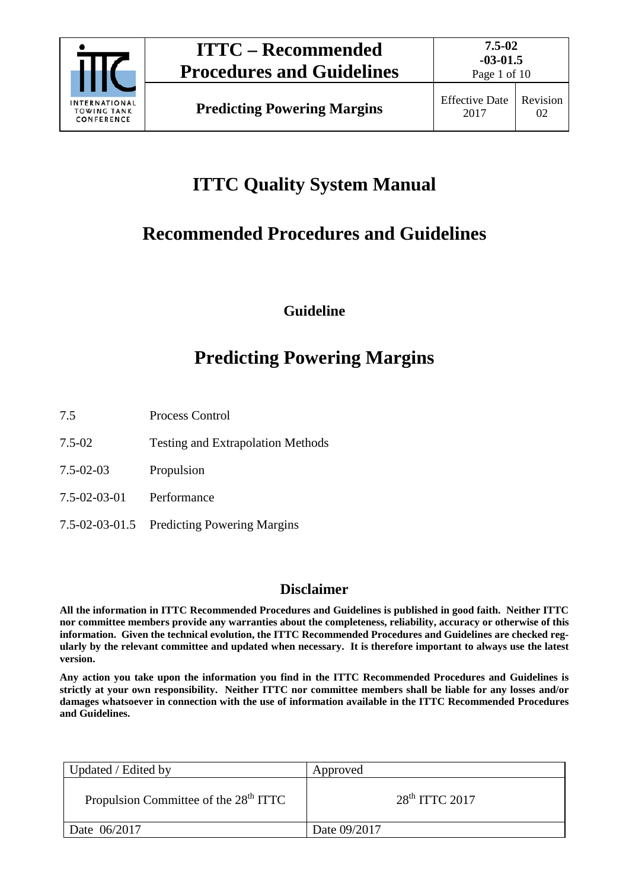

Page 1 of 10

# **ITTC Quality System Manual**

# **Recommended Procedures and Guidelines**

**Guideline**

# **Predicting Powering Margins**

- 7.5 Process Control
- 7.5-02 Testing and Extrapolation Methods
- 7.5-02-03 Propulsion
- 7.5-02-03-01 Performance
- 7.5-02-03-01.5 Predicting Powering Margins

### **Disclaimer**

**All the information in ITTC Recommended Procedures and Guidelines is published in good faith. Neither ITTC nor committee members provide any warranties about the completeness, reliability, accuracy or otherwise of this information. Given the technical evolution, the ITTC Recommended Procedures and Guidelines are checked regularly by the relevant committee and updated when necessary. It is therefore important to always use the latest version.**

**Any action you take upon the information you find in the ITTC Recommended Procedures and Guidelines is strictly at your own responsibility. Neither ITTC nor committee members shall be liable for any losses and/or damages whatsoever in connection with the use of information available in the ITTC Recommended Procedures and Guidelines.**

| Updated / Edited by                               | Approved           |
|---------------------------------------------------|--------------------|
| Propulsion Committee of the 28 <sup>th</sup> ITTC | $28th$ ITTC $2017$ |
| Date 06/2017                                      | Date 09/2017       |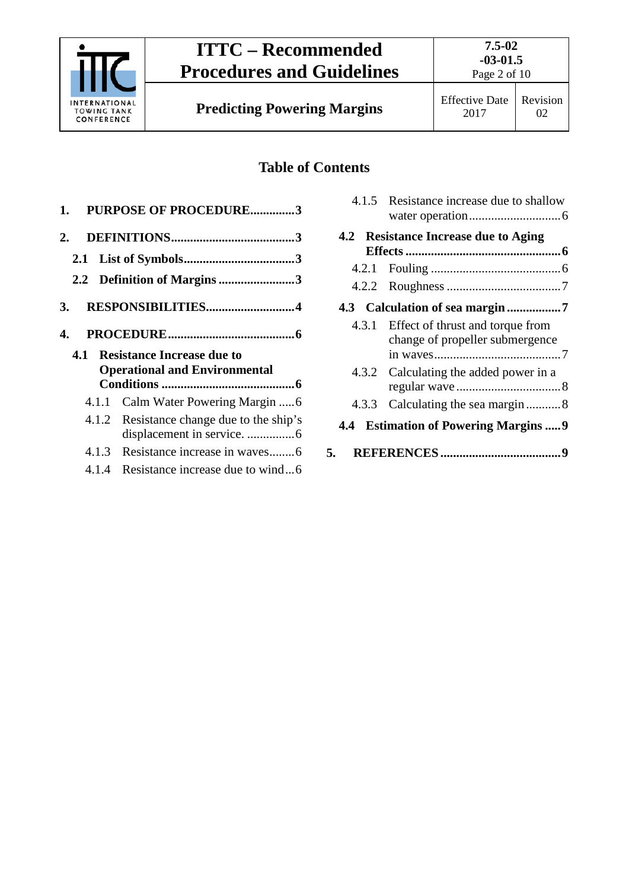

## **Table of Contents**

| 1.  | <b>PURPOSE OF PROCEDURE3</b>                 |
|-----|----------------------------------------------|
| 2.  |                                              |
| 2.1 |                                              |
|     | 2.2 Definition of Margins 3                  |
| 3.  | RESPONSIBILITIES4                            |
| 4.  |                                              |
|     |                                              |
| 4.1 | <b>Resistance Increase due to</b>            |
|     | <b>Operational and Environmental</b>         |
|     |                                              |
|     | 4.1.1                                        |
|     | Resistance change due to the ship's<br>4.1.2 |
|     |                                              |
|     | 4.1.3<br>Resistance increase in waves6       |
|     | Resistance increase due to wind6<br>4.1.4    |

|     | 4.1.5 Resistance increase due to shallow                                  |
|-----|---------------------------------------------------------------------------|
|     | 4.2 Resistance Increase due to Aging                                      |
|     |                                                                           |
|     |                                                                           |
|     |                                                                           |
|     | 4.3.1 Effect of thrust and torque from<br>change of propeller submergence |
|     | 4.3.2 Calculating the added power in a                                    |
|     |                                                                           |
| 4.4 | <b>Estimation of Powering Margins9</b>                                    |
| 5.  |                                                                           |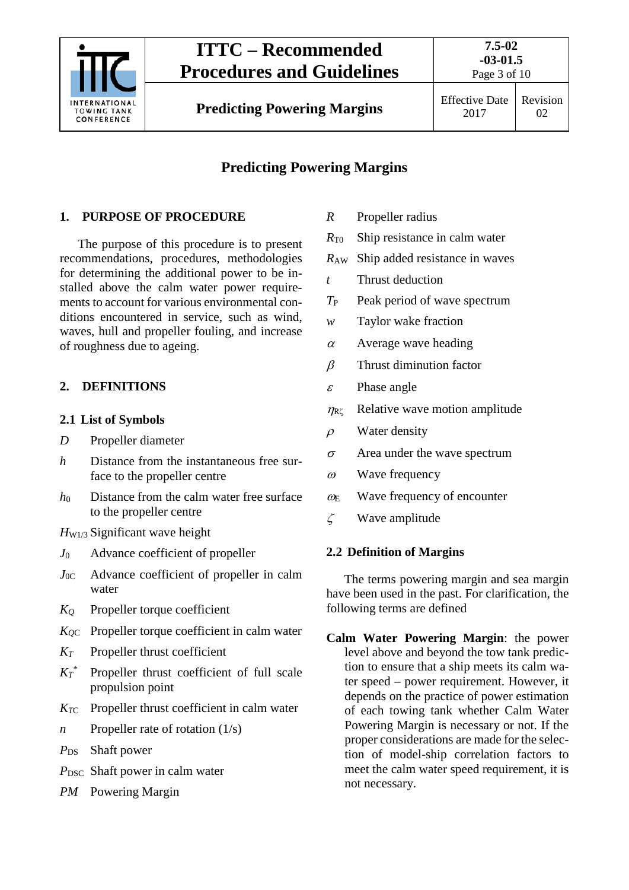

## **ITTC – Recommended Procedures and Guidelines**

## **Predicting Powering Margins**

### <span id="page-2-0"></span>**1. PURPOSE OF PROCEDURE**

The purpose of this procedure is to present recommendations, procedures, methodologies for determining the additional power to be installed above the calm water power requirements to account for various environmental conditions encountered in service, such as wind, waves, hull and propeller fouling, and increase of roughness due to ageing.

### <span id="page-2-2"></span><span id="page-2-1"></span>**2. DEFINITIONS**

### **2.1 List of Symbols**

- *D* Propeller diameter
- *h* Distance from the instantaneous free surface to the propeller centre
- *h*<sup>0</sup> Distance from the calm water free surface to the propeller centre
- *H*<sub>W1/3</sub> Significant wave height
- *J*<sup>0</sup> Advance coefficient of propeller
- *J*0C Advance coefficient of propeller in calm water
- *KQ* Propeller torque coefficient
- *KQ*<sup>C</sup> Propeller torque coefficient in calm water
- *KT* Propeller thrust coefficient
- $Kr^*$ Propeller thrust coefficient of full scale propulsion point
- *KT*<sup>C</sup> Propeller thrust coefficient in calm water
- *n* Propeller rate of rotation (1/s)
- *P*<sub>DS</sub> Shaft power
- *P*<sub>DSC</sub> Shaft power in calm water
- *PM* Powering Margin
- *R* Propeller radius
- *R*T0 Ship resistance in calm water
- *R*AW Ship added resistance in waves
- *t* Thrust deduction
- *T*<sup>P</sup> Peak period of wave spectrum
- *w* Taylor wake fraction
- $\alpha$  Average wave heading
- $\beta$  Thrust diminution factor
- $\varepsilon$  Phase angle
- $\eta_{\text{R}\zeta}$  Relative wave motion amplitude
- $\rho$  Water density
- $\sigma$  Area under the wave spectrum
- $\omega$  Wave frequency
- $\omega_{\rm E}$  Wave frequency of encounter
- <span id="page-2-3"></span> $\zeta$  Wave amplitude

### **2.2 Definition of Margins**

The terms powering margin and sea margin have been used in the past. For clarification, the following terms are defined

**Calm Water Powering Margin**: the power level above and beyond the tow tank prediction to ensure that a ship meets its calm water speed – power requirement. However, it depends on the practice of power estimation of each towing tank whether Calm Water Powering Margin is necessary or not. If the proper considerations are made for the selection of model-ship correlation factors to meet the calm water speed requirement, it is not necessary.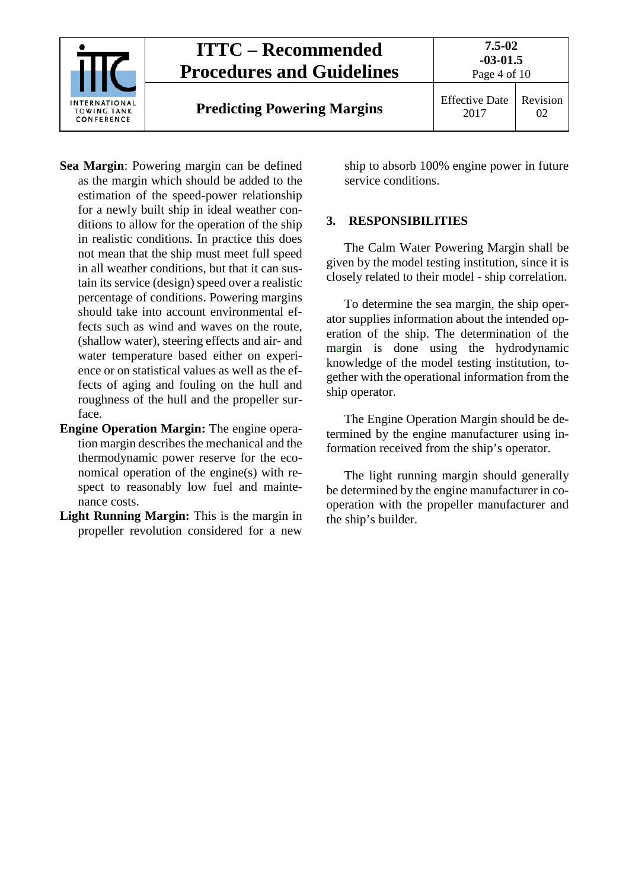

- **Sea Margin**: Powering margin can be defined as the margin which should be added to the estimation of the speed-power relationship for a newly built ship in ideal weather conditions to allow for the operation of the ship in realistic conditions. In practice this does not mean that the ship must meet full speed in all weather conditions, but that it can sustain its service (design) speed over a realistic percentage of conditions. Powering margins should take into account environmental effects such as wind and waves on the route, (shallow water), steering effects and air- and water temperature based either on experience or on statistical values as well as the effects of aging and fouling on the hull and roughness of the hull and the propeller surface.
- **Engine Operation Margin:** The engine operation margin describes the mechanical and the thermodynamic power reserve for the economical operation of the engine(s) with respect to reasonably low fuel and maintenance costs.
- **Light Running Margin:** This is the margin in propeller revolution considered for a new

ship to absorb 100% engine power in future service conditions.

#### <span id="page-3-0"></span>**3. RESPONSIBILITIES**

The Calm Water Powering Margin shall be given by the model testing institution, since it is closely related to their model - ship correlation.

To determine the sea margin, the ship operator supplies information about the intended operation of the ship. The determination of the margin is done using the hydrodynamic knowledge of the model testing institution, together with the operational information from the ship operator.

The Engine Operation Margin should be determined by the engine manufacturer using information received from the ship's operator.

The light running margin should generally be determined by the engine manufacturer in cooperation with the propeller manufacturer and the ship's builder.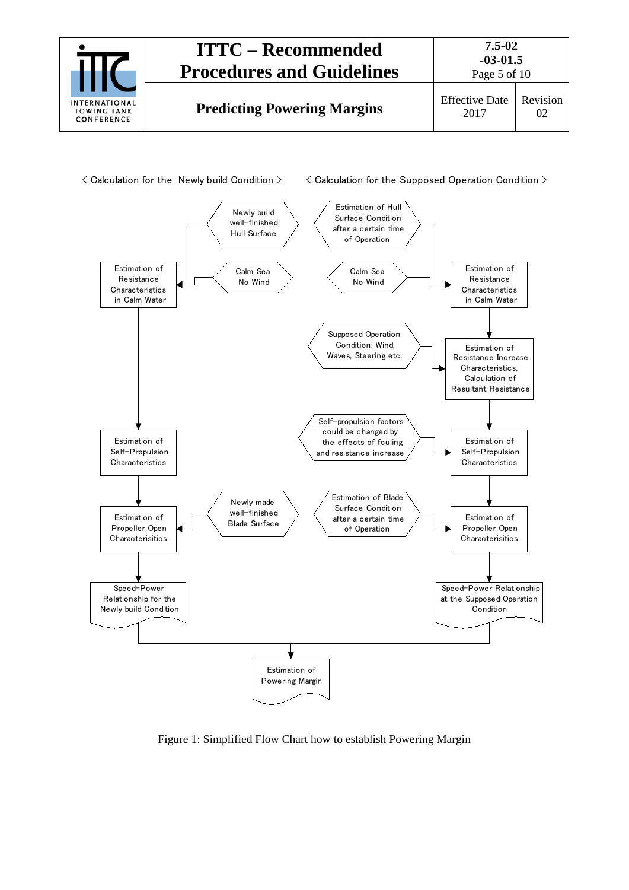



Figure 1: Simplified Flow Chart how to establish Powering Margin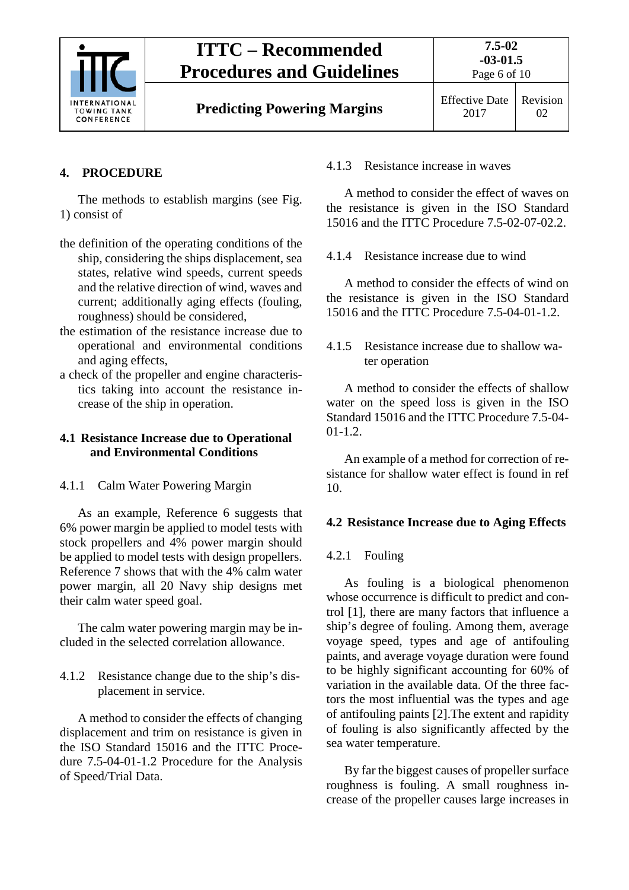

 $02<sub>z</sub>$ 

### <span id="page-5-0"></span>**4. PROCEDURE**

The methods to establish margins (see Fig. 1) consist of

- the definition of the operating conditions of the ship, considering the ships displacement, sea states, relative wind speeds, current speeds and the relative direction of wind, waves and current; additionally aging effects (fouling, roughness) should be considered,
- the estimation of the resistance increase due to operational and environmental conditions and aging effects,
- a check of the propeller and engine characteristics taking into account the resistance increase of the ship in operation.

#### <span id="page-5-1"></span>**4.1 Resistance Increase due to Operational and Environmental Conditions**

<span id="page-5-2"></span>4.1.1 Calm Water Powering Margin

As an example, Reference 6 suggests that 6% power margin be applied to model tests with stock propellers and 4% power margin should be applied to model tests with design propellers. Reference 7 shows that with the 4% calm water power margin, all 20 Navy ship designs met their calm water speed goal.

The calm water powering margin may be included in the selected correlation allowance.

<span id="page-5-3"></span>4.1.2 Resistance change due to the ship's displacement in service.

A method to consider the effects of changing displacement and trim on resistance is given in the ISO Standard 15016 and the ITTC Procedure 7.5-04-01-1.2 Procedure for the Analysis of Speed/Trial Data.

#### <span id="page-5-4"></span>4.1.3 Resistance increase in waves

A method to consider the effect of waves on the resistance is given in the ISO Standard 15016 and the ITTC Procedure 7.5-02-07-02.2.

<span id="page-5-5"></span>4.1.4 Resistance increase due to wind

A method to consider the effects of wind on the resistance is given in the ISO Standard 15016 and the ITTC Procedure 7.5-04-01-1.2.

<span id="page-5-6"></span>4.1.5 Resistance increase due to shallow water operation

A method to consider the effects of shallow water on the speed loss is given in the ISO Standard 15016 and the ITTC Procedure 7.5-04-  $01-1.2.$ 

An example of a method for correction of resistance for shallow water effect is found in ref 10.

#### <span id="page-5-8"></span><span id="page-5-7"></span>**4.2 Resistance Increase due to Aging Effects**

#### 4.2.1 Fouling

As fouling is a biological phenomenon whose occurrence is difficult to predict and control [1], there are many factors that influence a ship's degree of fouling. Among them, average voyage speed, types and age of antifouling paints, and average voyage duration were found to be highly significant accounting for 60% of variation in the available data. Of the three factors the most influential was the types and age of antifouling paints [2].The extent and rapidity of fouling is also significantly affected by the sea water temperature.

By far the biggest causes of propeller surface roughness is fouling. A small roughness increase of the propeller causes large increases in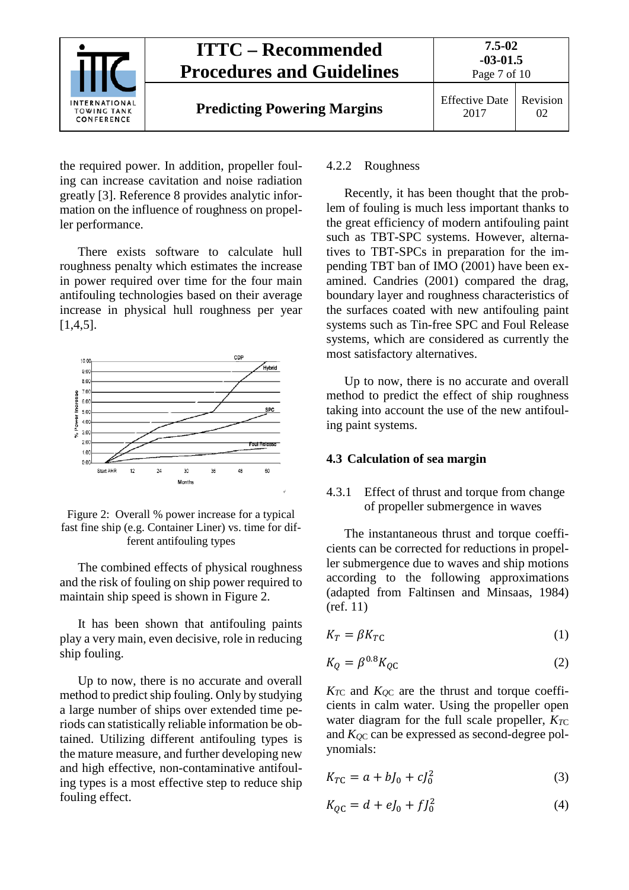

the required power. In addition, propeller fouling can increase cavitation and noise radiation greatly [3]. Reference 8 provides analytic information on the influence of roughness on propeller performance.

There exists software to calculate hull roughness penalty which estimates the increase in power required over time for the four main antifouling technologies based on their average increase in physical hull roughness per year [1,4,5].



Figure 2: Overall % power increase for a typical fast fine ship (e.g. Container Liner) vs. time for different antifouling types

The combined effects of physical roughness and the risk of fouling on ship power required to maintain ship speed is shown in Figure 2.

It has been shown that antifouling paints play a very main, even decisive, role in reducing ship fouling.

Up to now, there is no accurate and overall method to predict ship fouling. Only by studying a large number of ships over extended time periods can statistically reliable information be obtained. Utilizing different antifouling types is the mature measure, and further developing new and high effective, non-contaminative antifouling types is a most effective step to reduce ship fouling effect.

#### <span id="page-6-0"></span>4.2.2 Roughness

Recently, it has been thought that the problem of fouling is much less important thanks to the great efficiency of modern antifouling paint such as TBT-SPC systems. However, alternatives to TBT-SPCs in preparation for the impending TBT ban of IMO (2001) have been examined. Candries (2001) compared the drag, boundary layer and roughness characteristics of the surfaces coated with new antifouling paint systems such as Tin-free SPC and Foul Release systems, which are considered as currently the most satisfactory alternatives.

Up to now, there is no accurate and overall method to predict the effect of ship roughness taking into account the use of the new antifouling paint systems.

#### <span id="page-6-2"></span><span id="page-6-1"></span>**4.3 Calculation of sea margin**

#### 4.3.1 Effect of thrust and torque from change of propeller submergence in waves

The instantaneous thrust and torque coefficients can be corrected for reductions in propeller submergence due to waves and ship motions according to the following approximations (adapted from Faltinsen and Minsaas, 1984) (ref. 11)

$$
K_T = \beta K_{TC} \tag{1}
$$

$$
K_Q = \beta^{0.8} K_{QC} \tag{2}
$$

 $K_{TC}$  and  $K_{QC}$  are the thrust and torque coefficients in calm water. Using the propeller open water diagram for the full scale propeller,  $K_{TC}$ and  $K_{OC}$  can be expressed as second-degree polynomials:

$$
K_{TC} = a + bJ_0 + cJ_0^2
$$
 (3)

$$
K_{QC} = d + eJ_0 + fJ_0^2 \tag{4}
$$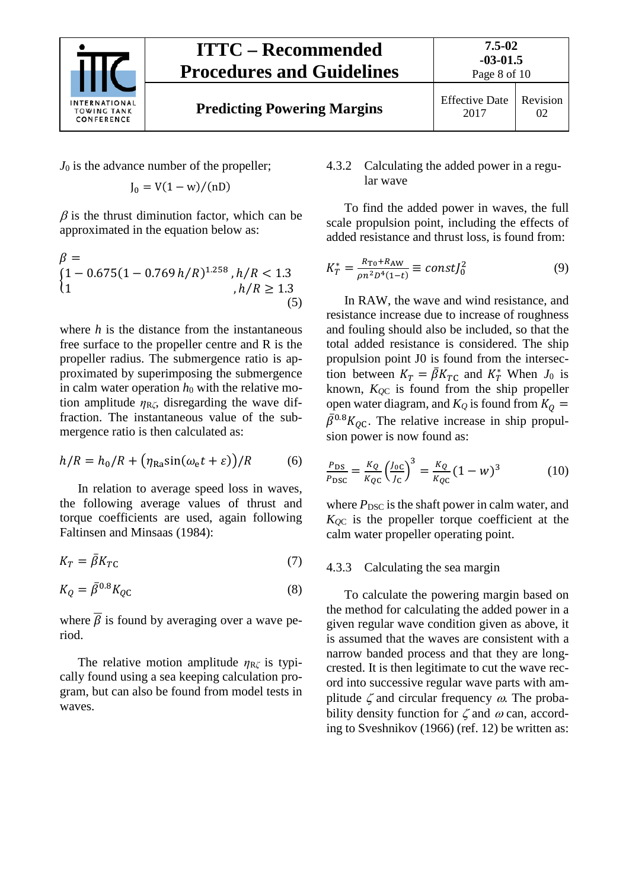

*J*<sup>0</sup> is the advance number of the propeller;

$$
J_0 = V(1 - w)/(nD)
$$

 $\beta$  is the thrust diminution factor, which can be approximated in the equation below as:

$$
\beta =\n\begin{cases}\n1 - 0.675(1 - 0.769 h/R)^{1.258}, h/R < 1.3 \\
h/R \ge 1.3\n\end{cases},
$$
\n(5)

where *h* is the distance from the instantaneous free surface to the propeller centre and R is the propeller radius. The submergence ratio is approximated by superimposing the submergence in calm water operation  $h_0$  with the relative motion amplitude  $\eta_{R\zeta}$ , disregarding the wave diffraction. The instantaneous value of the submergence ratio is then calculated as:

$$
h/R = h_0/R + \left(\eta_{\text{Ra}} \sin(\omega_e t + \varepsilon)\right) / R \tag{6}
$$

In relation to average speed loss in waves, the following average values of thrust and torque coefficients are used, again following Faltinsen and Minsaas (1984):

$$
K_T = \bar{\beta} K_{TC} \tag{7}
$$

$$
K_Q = \bar{\beta}^{0.8} K_{QC} \tag{8}
$$

where  $\overline{\beta}$  is found by averaging over a wave period.

The relative motion amplitude  $\eta_{R\zeta}$  is typically found using a sea keeping calculation program, but can also be found from model tests in waves.

#### <span id="page-7-0"></span>4.3.2 Calculating the added power in a regular wave

To find the added power in waves, the full scale propulsion point, including the effects of added resistance and thrust loss, is found from:

$$
K_T^* = \frac{R_{\text{To}} + R_{\text{AW}}}{\rho n^2 D^4 (1 - t)} \equiv const J_0^2 \tag{9}
$$

In RAW, the wave and wind resistance, and resistance increase due to increase of roughness and fouling should also be included, so that the total added resistance is considered. The ship propulsion point J0 is found from the intersection between  $K_T = \beta K_{TC}$  and  $K_T^*$  When  $J_0$  is known,  $K_{\text{OC}}$  is found from the ship propeller open water diagram, and  $K_Q$  is found from  $K_Q =$  $\beta^{0.8} K_{QC}$ . The relative increase in ship propulsion power is now found as:

$$
\frac{P_{DS}}{P_{DSC}} = \frac{K_Q}{K_{QC}} \left(\frac{J_{0C}}{J_C}\right)^3 = \frac{K_Q}{K_{QC}} (1 - w)^3
$$
 (10)

where  $P_{\text{DSC}}$  is the shaft power in calm water, and *KQ*<sup>C</sup> is the propeller torque coefficient at the calm water propeller operating point.

#### <span id="page-7-1"></span>4.3.3 Calculating the sea margin

To calculate the powering margin based on the method for calculating the added power in a given regular wave condition given as above, it is assumed that the waves are consistent with a narrow banded process and that they are longcrested. It is then legitimate to cut the wave record into successive regular wave parts with amplitude  $\zeta$  and circular frequency  $\omega$ . The probability density function for  $\zeta$  and  $\omega$  can, according to Sveshnikov (1966) (ref. 12) be written as: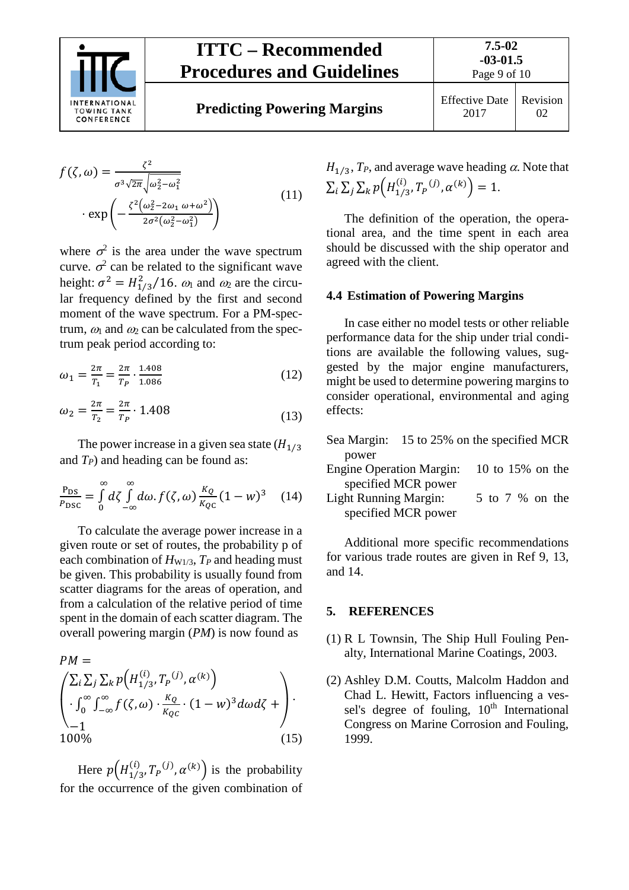

# **ITTC – Recommended Procedures and Guidelines**

$$
f(\zeta, \omega) = \frac{\zeta^2}{\sigma^3 \sqrt{2\pi} \sqrt{\omega_2^2 - \omega_1^2}} \cdot \exp\left(-\frac{\zeta^2 \left(\omega_2^2 - 2\omega_1 \omega + \omega^2\right)}{2\sigma^2 \left(\omega_2^2 - \omega_1^2\right)}\right)
$$
(11)

where  $\sigma^2$  is the area under the wave spectrum curve.  $\sigma^2$  can be related to the significant wave height:  $\sigma^2 = H_{1/3}^2 / 16$ .  $\omega_1$  and  $\omega_2$  are the circular frequency defined by the first and second moment of the wave spectrum. For a PM-spectrum,  $\omega_1$  and  $\omega_2$  can be calculated from the spectrum peak period according to:

$$
\omega_1 = \frac{2\pi}{T_1} = \frac{2\pi}{T_P} \cdot \frac{1.408}{1.086} \tag{12}
$$

$$
\omega_2 = \frac{2\pi}{T_2} = \frac{2\pi}{T_P} \cdot 1.408\tag{13}
$$

The power increase in a given sea state  $(H_{1/3})$ and  $T_P$ ) and heading can be found as:

$$
\frac{P_{DS}}{P_{DSC}} = \int_{0}^{\infty} d\zeta \int_{-\infty}^{\infty} d\omega \cdot f(\zeta, \omega) \frac{\kappa_Q}{\kappa_{QC}} (1 - w)^3 \quad (14)
$$

To calculate the average power increase in a given route or set of routes, the probability p of each combination of  $H_{W1/3}$ ,  $T_P$  and heading must be given. This probability is usually found from scatter diagrams for the areas of operation, and from a calculation of the relative period of time spent in the domain of each scatter diagram. The overall powering margin (*PM*) is now found as

$$
PM = \left(\sum_{i} \sum_{j} \sum_{k} p\left(H_{1/3}^{(i)}, T_{P}^{(j)}, \alpha^{(k)}\right) \cdot \int_{0}^{\infty} \int_{-\infty}^{\infty} f(\zeta, \omega) \cdot \frac{\kappa_{Q}}{\kappa_{QC}} \cdot (1 - w)^{3} d\omega d\zeta + \right) \cdot \frac{100\%}{}
$$
\n(15)

Here  $p(H_{1/3}^{(1)}, T_P^{(j)}, \alpha^{(k)})$  is the probability for the occurrence of the given combination of

 $H_{1/3}$ ,  $T_P$ , and average wave heading  $\alpha$ . Note that  $\sum_i \sum_j \sum_k p\left(H_{1/3}^{(1)}, T_P^{(j)}, \alpha^{(k)}\right) = 1.$ 

The definition of the operation, the operational area, and the time spent in each area should be discussed with the ship operator and agreed with the client.

#### <span id="page-8-0"></span>**4.4 Estimation of Powering Margins**

In case either no model tests or other reliable performance data for the ship under trial conditions are available the following values, suggested by the major engine manufacturers, might be used to determine powering margins to consider operational, environmental and aging effects:

| Sea Margin:                     | 15 to 25% on the specified MCR |                  |  |  |
|---------------------------------|--------------------------------|------------------|--|--|
| power                           |                                |                  |  |  |
| <b>Engine Operation Margin:</b> |                                | 10 to 15% on the |  |  |
|                                 | specified MCR power            |                  |  |  |

Light Running Margin: 5 to 7 % on the specified MCR power

Additional more specific recommendations for various trade routes are given in Ref 9, 13, and 14.

#### <span id="page-8-1"></span>**5. REFERENCES**

- (1) R L Townsin, The Ship Hull Fouling Penalty, International Marine Coatings, 2003.
- (2) Ashley D.M. Coutts, Malcolm Haddon and Chad L. Hewitt, Factors influencing a vessel's degree of fouling, 10<sup>th</sup> International Congress on Marine Corrosion and Fouling, 1999.